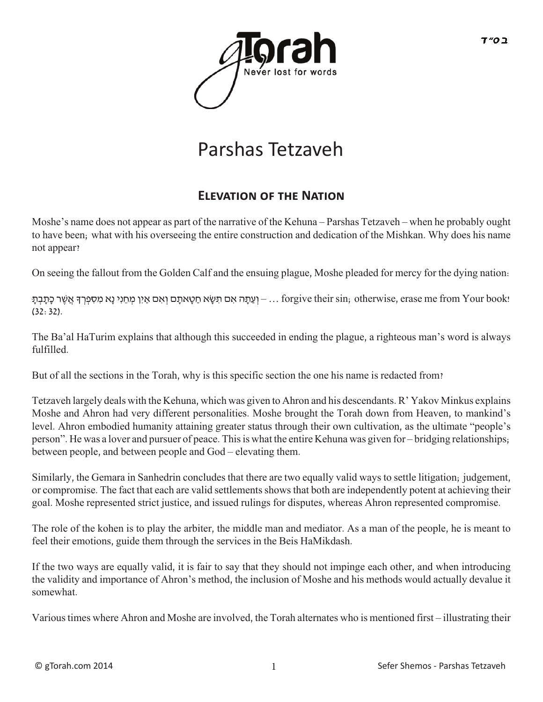

# Parshas Tetzaveh

## **ELEVATION OF THE NATION**

Moshe's name does not appear as part of the narrative of the Kehuna – Parshas Tetzaveh – when he probably ought to have been; what with his overseeing the entire construction and dedication of the Mishkan. Why does his name not appear?

On seeing the fallout from the Golden Calf and the ensuing plague, Moshe pleaded for mercy for the dying nation:

 $-$ וְ יָעֲתָּה אִם תִּשֶׂא חַטָאתָם וְאִם אַיִן מְחֵנִי נֵא מִסְפְרָךְ אֲשֶׁר כַּתֲבָתָ – … forgive their sin; otherwise, erase me from Your book! (32:32).

The Ba'al HaTurim explains that although this succeeded in ending the plague, a righteous man's word is always fulfilled.

But of all the sections in the Torah, why is this specific section the one his name is redacted from?

Tetzaveh largely deals with the Kehuna, which was given to Ahron and his descendants. R' Yakov Minkus explains Moshe and Ahron had very different personalities. Moshe brought the Torah down from Heaven, to mankind's level. Ahron embodied humanity attaining greater status through their own cultivation, as the ultimate "people's person". He was a lover and pursuer of peace. This is what the entire Kehuna was given for – bridging relationships; between people, and between people and God – elevating them.

Similarly, the Gemara in Sanhedrin concludes that there are two equally valid ways to settle litigation; judgement, or compromise. The fact that each are valid settlements shows that both are independently potent at achieving their goal. Moshe represented strict justice, and issued rulings for disputes, whereas Ahron represented compromise.

The role of the kohen is to play the arbiter, the middle man and mediator. As a man of the people, he is meant to feel their emotions, guide them through the services in the Beis HaMikdash.

If the two ways are equally valid, it is fair to say that they should not impinge each other, and when introducing the validity and importance of Ahron's method, the inclusion of Moshe and his methods would actually devalue it somewhat.

Various times where Ahron and Moshe are involved, the Torah alternates who is mentioned first – illustrating their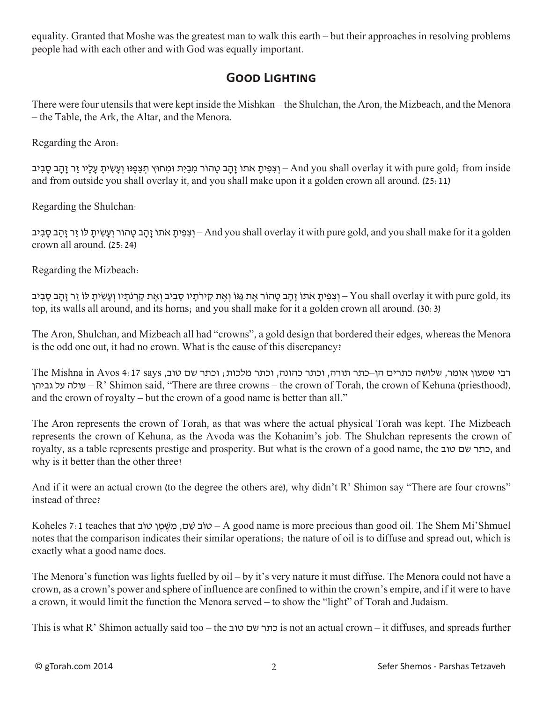equality. Granted that Moshe was the greatest man to walk this earth – but their approaches in resolving problems people had with each other and with God was equally important.

#### **Good Lighting**

There were four utensils that were kept inside the Mishkan – the Shulchan, the Aron, the Mizbeach, and the Menora – the Table, the Ark, the Altar, and the Menora.

Regarding the Aron:

ונפּינו וואט And you shall overlay it with pure gold; from inside – וצפית אתוֹ זהב טהוֹר מבית וּמחוּץ תִצפּנּו ועשׂית עליו זר זהב סביב and from outside you shall overlay it, and you shall make upon it a golden crown all around. (25:11)

Regarding the Shulchan:

יצִפִּיתַ אֹתוֹ זָהָב טָהוֹר וְעַשִׂיתָ לוֹ זֵר זָהָב סָבִיב – And you shall overlay it with pure gold, and you shall make for it a golden crown all around. (25:24)

Regarding the Mizbeach:

יִצְפִיתַ אֹתוֹ זָהָב טָהוֹר אֶת גַּגּוֹ וְאֶת קִירֹתַיו סָבְיב וְאֶת קַרְנֹתַיו וְעָשִׂיתָ לוֹ זֵר זָהָב סָבִיב – You shall overlay it with pure gold, its top, its walls all around, and its horns; and you shall make for it a golden crown all around. (30:3)

The Aron, Shulchan, and Mizbeach all had "crowns", a gold design that bordered their edges, whereas the Menora is the odd one out, it had no crown. What is the cause of this discrepancy?

רבי שמעון אומר, שלושה כתרים הן–כתר תורה, וכתר כהונה, וכתר מלכות; וכתר שם טוב, says 4:17 Avos in Mishna The עלה על גביהן – R' Shimon said, "There are three crowns – the crown of Torah, the crown of Kehuna (priesthood), and the crown of royalty – but the crown of a good name is better than all."

The Aron represents the crown of Torah, as that was where the actual physical Torah was kept. The Mizbeach represents the crown of Kehuna, as the Avoda was the Kohanim's job. The Shulchan represents the crown of royalty, as a table represents prestige and prosperity. But what is the crown of a good name, the טוב שם כתר, and why is it better than the other three?

And if it were an actual crown (to the degree the others are), why didn't R' Shimon say "There are four crowns" instead of three?

Koheles 7:1 teaches that בֹטו ן ֶמּׁ ֶש ִמ ,םׁ ֵש בֹטו – A good name is more precious than good oil. The Shem Mi'Shmuel notes that the comparison indicates their similar operations; the nature of oil is to diffuse and spread out, which is exactly what a good name does.

The Menora's function was lights fuelled by oil – by it's very nature it must diffuse. The Menora could not have a crown, as a crown's power and sphere of influence are confined to within the crown's empire, and if it were to have a crown, it would limit the function the Menora served – to show the "light" of Torah and Judaism.

This is what R' Shimon actually said too – the טוב שם כתר is not an actual crown – it diffuses, and spreads further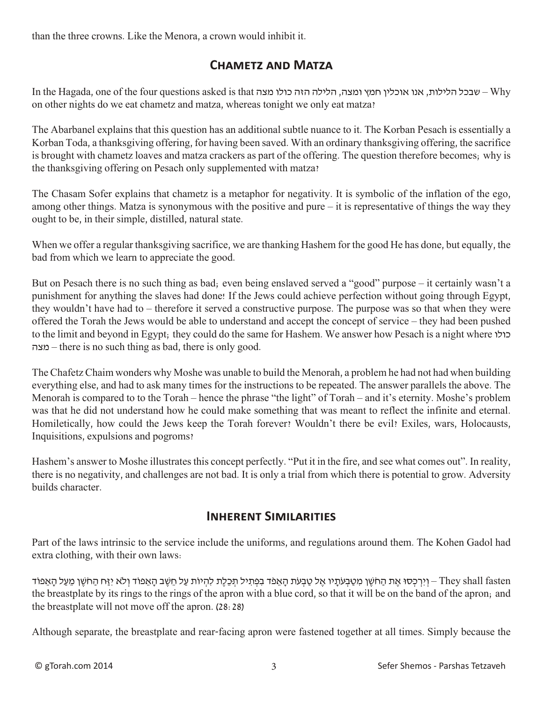than the three crowns. Like the Menora, a crown would inhibit it.

## **Chametz and Matza**

In the Hagada, one of the four questions asked is that מצה כולו הזה הלילה ,ומצה חמץ אוכלין אנו ,הלילות שבכל – Why on other nights do we eat chametz and matza, whereas tonight we only eat matza?

The Abarbanel explains that this question has an additional subtle nuance to it. The Korban Pesach is essentially a Korban Toda, a thanksgiving offering, for having been saved. With an ordinary thanksgiving offering, the sacrifice is brought with chametz loaves and matza crackers as part of the offering. The question therefore becomes; why is the thanksgiving offering on Pesach only supplemented with matza?

The Chasam Sofer explains that chametz is a metaphor for negativity. It is symbolic of the inflation of the ego, among other things. Matza is synonymous with the positive and pure – it is representative of things the way they ought to be, in their simple, distilled, natural state.

When we offer a regular thanksgiving sacrifice, we are thanking Hashem for the good He has done, but equally, the bad from which we learn to appreciate the good.

But on Pesach there is no such thing as bad; even being enslaved served a "good" purpose – it certainly wasn't a punishment for anything the slaves had done! If the Jews could achieve perfection without going through Egypt, they wouldn't have had to – therefore it served a constructive purpose. The purpose was so that when they were offered the Torah the Jews would be able to understand and accept the concept of service – they had been pushed to the limit and beyond in Egypt; they could do the same for Hashem. We answer how Pesach is a night where כולו מצה – there is no such thing as bad, there is only good.

The Chafetz Chaim wonders why Moshe was unable to build the Menorah, a problem he had not had when building everything else, and had to ask many times for the instructions to be repeated. The answer parallels the above. The Menorah is compared to to the Torah – hence the phrase "the light" of Torah – and it's eternity. Moshe's problem was that he did not understand how he could make something that was meant to reflect the infinite and eternal. Homiletically, how could the Jews keep the Torah forever? Wouldn't there be evil? Exiles, wars, Holocausts, Inquisitions, expulsions and pogroms?

Hashem's answer to Moshe illustrates this concept perfectly. "Put it in the fire, and see what comes out". In reality, there is no negativity, and challenges are not bad. It is only a trial from which there is potential to grow. Adversity builds character.

#### **Inherent Similarities**

Part of the laws intrinsic to the service include the uniforms, and regulations around them. The Kohen Gadol had extra clothing, with their own laws:

fasten – וְיִרְכְּסוּ אֶת הַחֹשֵׁן מִטַּבְעֹתֵיו אֶל טַבְעֹת הָאֱמֹד בִפְתִיל תִכְלֶת לִהְיוֹת עַל חֵשֶׁב הָאֵמוֹד וְלֹא יְזַח הַחֹשֵׁן מֵעַל הָאֶמוֹד – They shall fasten the breastplate by its rings to the rings of the apron with a blue cord, so that it will be on the band of the apron; and the breastplate will not move off the apron. (28:28)

Although separate, the breastplate and rear-facing apron were fastened together at all times. Simply because the